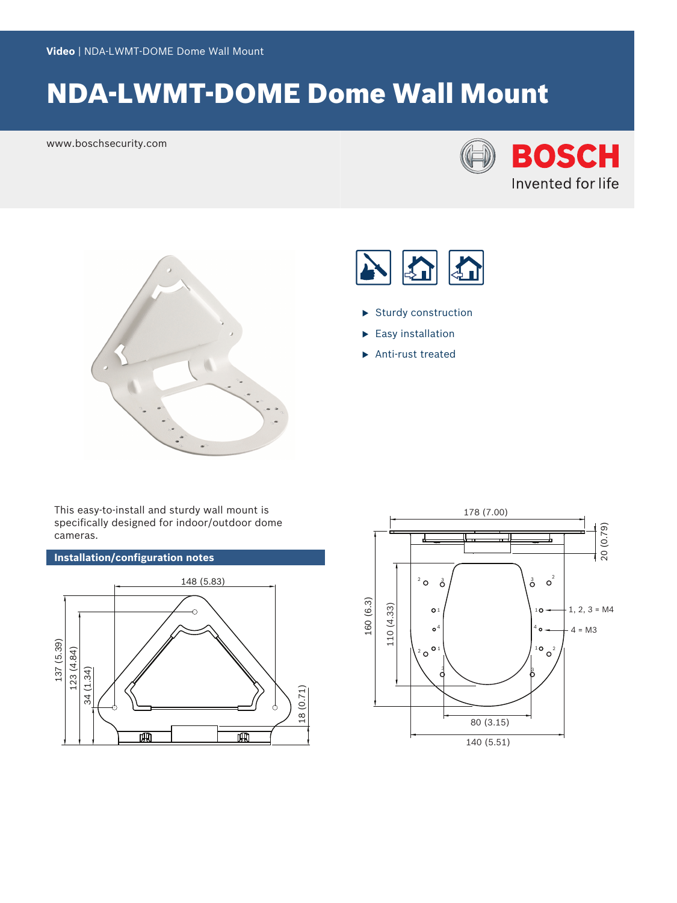# NDA-LWMT-DOME Dome Wall Mount

www.boschsecurity.com







- $\blacktriangleright$  Sturdy construction
- $\blacktriangleright$  Easy installation
- $\blacktriangleright$  Anti-rust treated

This easy-to-install and sturdy wall mount is specifically designed for indoor/outdoor dome cameras.